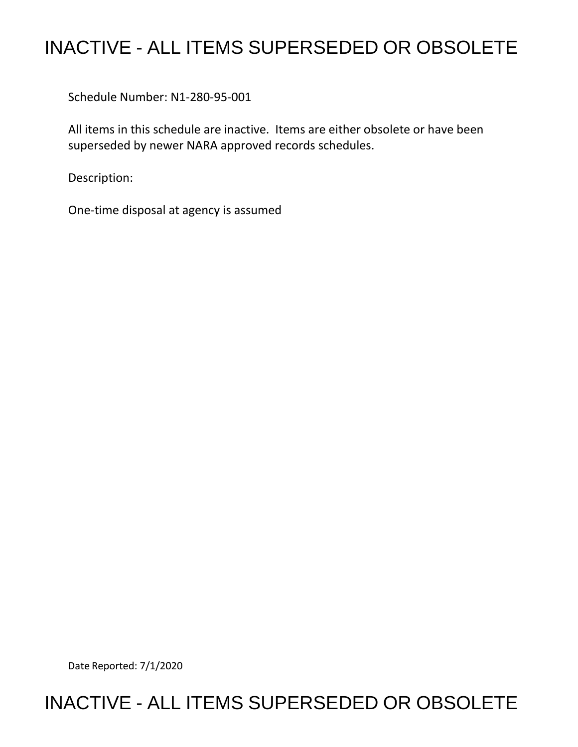## INACTIVE - ALL ITEMS SUPERSEDED OR OBSOLETE

Schedule Number: N1-280-95-001

All items in this schedule are inactive. Items are either obsolete or have been superseded by newer NARA approved records schedules.

Description:

One-time disposal at agency is assumed

Date Reported: 7/1/2020

## INACTIVE - ALL ITEMS SUPERSEDED OR OBSOLETE